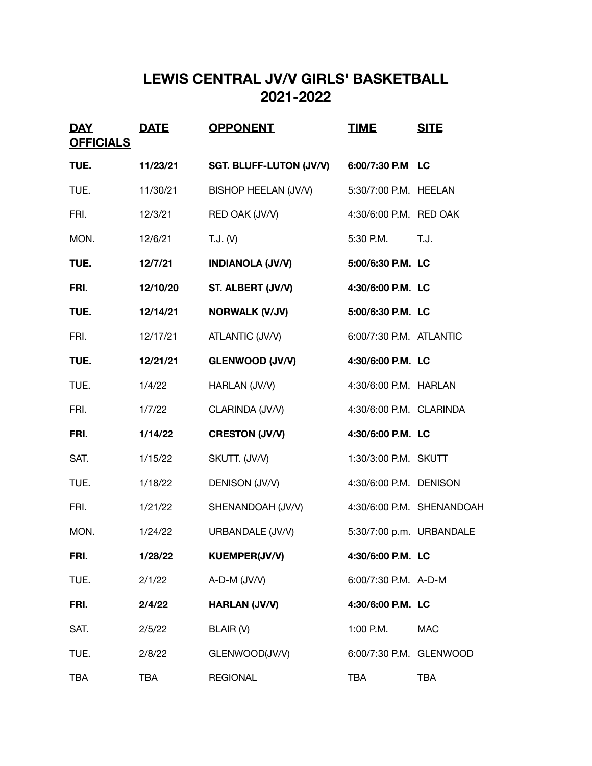## **LEWIS CENTRAL JV/V GIRLS' BASKETBALL 2021-2022**

| <u>DAY</u><br><b>OFFICIALS</b> | <b>DATE</b> | <b>OPPONENT</b>                | <u>TIME</u>              | <b>SITE</b>               |
|--------------------------------|-------------|--------------------------------|--------------------------|---------------------------|
| TUE.                           | 11/23/21    | <b>SGT. BLUFF-LUTON (JV/V)</b> | 6:00/7:30 P.M LC         |                           |
| TUE.                           | 11/30/21    | BISHOP HEELAN (JV/V)           | 5:30/7:00 P.M. HEELAN    |                           |
| FRI.                           | 12/3/21     | RED OAK (JV/V)                 | 4:30/6:00 P.M. RED OAK   |                           |
| MON.                           | 12/6/21     | T.J. (V)                       | 5:30 P.M.                | T.J.                      |
| TUE.                           | 12/7/21     | <b>INDIANOLA (JV/V)</b>        | 5:00/6:30 P.M. LC        |                           |
| FRI.                           | 12/10/20    | ST. ALBERT (JV/V)              | 4:30/6:00 P.M. LC        |                           |
| TUE.                           | 12/14/21    | <b>NORWALK (V/JV)</b>          | 5:00/6:30 P.M. LC        |                           |
| FRI.                           | 12/17/21    | ATLANTIC (JV/V)                | 6:00/7:30 P.M. ATLANTIC  |                           |
| TUE.                           | 12/21/21    | <b>GLENWOOD (JV/V)</b>         | 4:30/6:00 P.M. LC        |                           |
| TUE.                           | 1/4/22      | HARLAN (JV/V)                  | 4:30/6:00 P.M. HARLAN    |                           |
| FRI.                           | 1/7/22      | CLARINDA (JV/V)                | 4:30/6:00 P.M. CLARINDA  |                           |
| FRI.                           | 1/14/22     | <b>CRESTON (JV/V)</b>          | 4:30/6:00 P.M. LC        |                           |
| SAT.                           | 1/15/22     | SKUTT. (JV/V)                  | 1:30/3:00 P.M. SKUTT     |                           |
| TUE.                           | 1/18/22     | DENISON (JV/V)                 | 4:30/6:00 P.M. DENISON   |                           |
| FRI.                           | 1/21/22     | SHENANDOAH (JV/V)              |                          | 4:30/6:00 P.M. SHENANDOAH |
| MON.                           | 1/24/22     | URBANDALE (JV/V)               | 5:30/7:00 p.m. URBANDALE |                           |
| FRI.                           | 1/28/22     | <b>KUEMPER(JV/V)</b>           | 4:30/6:00 P.M. LC        |                           |
| TUE.                           | 2/1/22      | A-D-M (JV/V)                   | 6:00/7:30 P.M. A-D-M     |                           |
| FRI.                           | 2/4/22      | <b>HARLAN (JV/V)</b>           | 4:30/6:00 P.M. LC        |                           |
| SAT.                           | 2/5/22      | BLAIR (V)                      | 1:00 P.M.                | <b>MAC</b>                |
| TUE.                           | 2/8/22      | GLENWOOD(JV/V)                 | 6:00/7:30 P.M. GLENWOOD  |                           |
| <b>TBA</b>                     | <b>TBA</b>  | <b>REGIONAL</b>                | <b>TBA</b>               | <b>TBA</b>                |